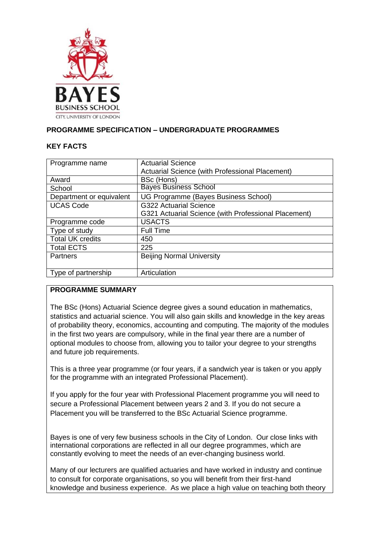

## **PROGRAMME SPECIFICATION – UNDERGRADUATE PROGRAMMES**

### **KEY FACTS**

| Programme name           | <b>Actuarial Science</b><br>Actuarial Science (with Professional Placement) |
|--------------------------|-----------------------------------------------------------------------------|
| Award                    | BSc (Hons)                                                                  |
| School                   | <b>Bayes Business School</b>                                                |
| Department or equivalent | UG Programme (Bayes Business School)                                        |
| <b>UCAS Code</b>         | G322 Actuarial Science                                                      |
|                          | G321 Actuarial Science (with Professional Placement)                        |
| Programme code           | <b>USACTS</b>                                                               |
| Type of study            | <b>Full Time</b>                                                            |
| <b>Total UK credits</b>  | 450                                                                         |
| <b>Total ECTS</b>        | 225                                                                         |
| <b>Partners</b>          | <b>Beijing Normal University</b>                                            |
|                          |                                                                             |
| Type of partnership      | Articulation                                                                |

## **PROGRAMME SUMMARY**

The BSc (Hons) Actuarial Science degree gives a sound education in mathematics, statistics and actuarial science. You will also gain skills and knowledge in the key areas of probability theory, economics, accounting and computing. The majority of the modules in the first two years are compulsory, while in the final year there are a number of optional modules to choose from, allowing you to tailor your degree to your strengths and future job requirements.

This is a three year programme (or four years, if a sandwich year is taken or you apply for the programme with an integrated Professional Placement).

If you apply for the four year with Professional Placement programme you will need to secure a Professional Placement between years 2 and 3. If you do not secure a Placement you will be transferred to the BSc Actuarial Science programme.

Bayes is one of very few business schools in the City of London. Our close links with international corporations are reflected in all our degree programmes, which are constantly evolving to meet the needs of an ever-changing business world.

Many of our lecturers are qualified actuaries and have worked in industry and continue to consult for corporate organisations, so you will benefit from their first-hand knowledge and business experience. As we place a high value on teaching both theory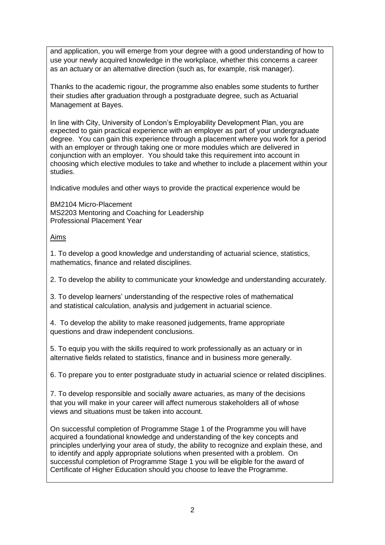and application, you will emerge from your degree with a good understanding of how to use your newly acquired knowledge in the workplace, whether this concerns a career as an actuary or an alternative direction (such as, for example, risk manager).

Thanks to the academic rigour, the programme also enables some students to further their studies after graduation through a postgraduate degree, such as Actuarial Management at Bayes.

In line with City, University of London's Employability Development Plan, you are expected to gain practical experience with an employer as part of your undergraduate degree. You can gain this experience through a placement where you work for a period with an employer or through taking one or more modules which are delivered in conjunction with an employer. You should take this requirement into account in choosing which elective modules to take and whether to include a placement within your studies.

Indicative modules and other ways to provide the practical experience would be

BM2104 Micro-Placement MS2203 Mentoring and Coaching for Leadership Professional Placement Year

## Aims

1. To develop a good knowledge and understanding of actuarial science, statistics, mathematics, finance and related disciplines.

2. To develop the ability to communicate your knowledge and understanding accurately.

3. To develop learners' understanding of the respective roles of mathematical and statistical calculation, analysis and judgement in actuarial science.

4. To develop the ability to make reasoned judgements, frame appropriate questions and draw independent conclusions.

5. To equip you with the skills required to work professionally as an actuary or in alternative fields related to statistics, finance and in business more generally.

6. To prepare you to enter postgraduate study in actuarial science or related disciplines.

7. To develop responsible and socially aware actuaries, as many of the decisions that you will make in your career will affect numerous stakeholders all of whose views and situations must be taken into account.

On successful completion of Programme Stage 1 of the Programme you will have acquired a foundational knowledge and understanding of the key concepts and principles underlying your area of study, the ability to recognize and explain these, and to identify and apply appropriate solutions when presented with a problem. On successful completion of Programme Stage 1 you will be eligible for the award of Certificate of Higher Education should you choose to leave the Programme.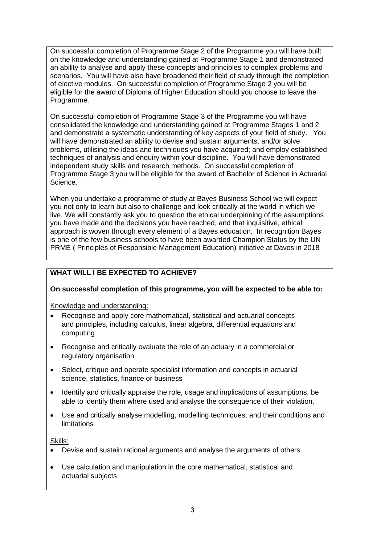On successful completion of Programme Stage 2 of the Programme you will have built on the knowledge and understanding gained at Programme Stage 1 and demonstrated an ability to analyse and apply these concepts and principles to complex problems and scenarios. You will have also have broadened their field of study through the completion of elective modules. On successful completion of Programme Stage 2 you will be eligible for the award of Diploma of Higher Education should you choose to leave the Programme.

On successful completion of Programme Stage 3 of the Programme you will have consolidated the knowledge and understanding gained at Programme Stages 1 and 2 and demonstrate a systematic understanding of key aspects of your field of study. You will have demonstrated an ability to devise and sustain arguments, and/or solve problems, utilising the ideas and techniques you have acquired; and employ established techniques of analysis and enquiry within your discipline. You will have demonstrated independent study skills and research methods. On successful completion of Programme Stage 3 you will be eligible for the award of Bachelor of Science in Actuarial Science.

When you undertake a programme of study at Bayes Business School we will expect you not only to learn but also to challenge and look critically at the world in which we live. We will constantly ask you to question the ethical underpinning of the assumptions you have made and the decisions you have reached, and that inquisitive, ethical approach is woven through every element of a Bayes education. In recognition Bayes is one of the few business schools to have been awarded Champion Status by the UN PRME ( Principles of Responsible Management Education) initiative at Davos in 2018

# **WHAT WILL I BE EXPECTED TO ACHIEVE?**

## **On successful completion of this programme, you will be expected to be able to:**

Knowledge and understanding:

- Recognise and apply core mathematical, statistical and actuarial concepts and principles, including calculus, linear algebra, differential equations and computing
- Recognise and critically evaluate the role of an actuary in a commercial or regulatory organisation
- Select, critique and operate specialist information and concepts in actuarial science, statistics, finance or business
- Identify and critically appraise the role, usage and implications of assumptions, be able to identify them where used and analyse the consequence of their violation.
- Use and critically analyse modelling, modelling techniques, and their conditions and limitations

Skills:

- Devise and sustain rational arguments and analyse the arguments of others.
- Use calculation and manipulation in the core mathematical, statistical and actuarial subjects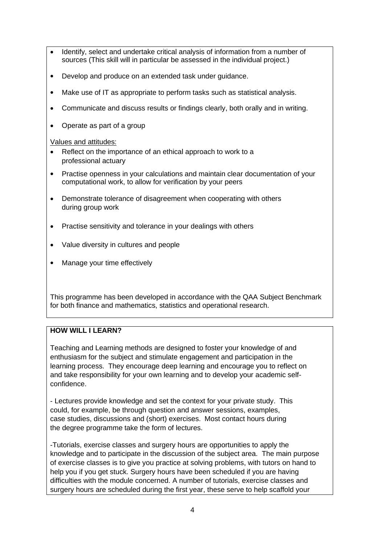- Identify, select and undertake critical analysis of information from a number of sources (This skill will in particular be assessed in the individual project.)
- Develop and produce on an extended task under guidance.
- Make use of IT as appropriate to perform tasks such as statistical analysis.
- Communicate and discuss results or findings clearly, both orally and in writing.
- Operate as part of a group

### Values and attitudes:

- Reflect on the importance of an ethical approach to work to a professional actuary
- Practise openness in your calculations and maintain clear documentation of your computational work, to allow for verification by your peers
- Demonstrate tolerance of disagreement when cooperating with others during group work
- Practise sensitivity and tolerance in your dealings with others
- Value diversity in cultures and people
- Manage your time effectively

This programme has been developed in accordance with the QAA Subject Benchmark for both finance and mathematics, statistics and operational research.

## **HOW WILL LLEARN?**

Teaching and Learning methods are designed to foster your knowledge of and enthusiasm for the subject and stimulate engagement and participation in the learning process. They encourage deep learning and encourage you to reflect on and take responsibility for your own learning and to develop your academic selfconfidence.

- Lectures provide knowledge and set the context for your private study. This could, for example, be through question and answer sessions, examples, case studies, discussions and (short) exercises. Most contact hours during the degree programme take the form of lectures.

-Tutorials, exercise classes and surgery hours are opportunities to apply the knowledge and to participate in the discussion of the subject area. The main purpose of exercise classes is to give you practice at solving problems, with tutors on hand to help you if you get stuck. Surgery hours have been scheduled if you are having difficulties with the module concerned. A number of tutorials, exercise classes and surgery hours are scheduled during the first year, these serve to help scaffold your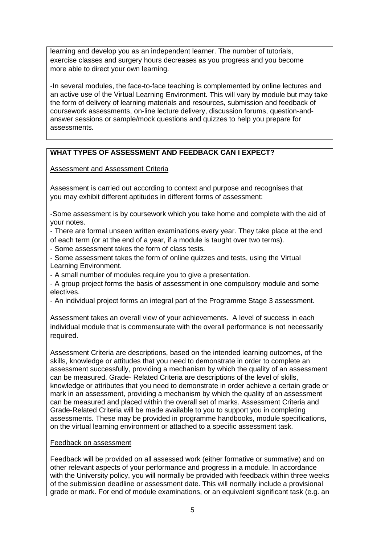learning and develop you as an independent learner. The number of tutorials, exercise classes and surgery hours decreases as you progress and you become more able to direct your own learning.

-In several modules, the face-to-face teaching is complemented by online lectures and an active use of the Virtual Learning Environment. This will vary by module but may take the form of delivery of learning materials and resources, submission and feedback of coursework assessments, on-line lecture delivery, discussion forums, question-andanswer sessions or sample/mock questions and quizzes to help you prepare for assessments.

## **WHAT TYPES OF ASSESSMENT AND FEEDBACK CAN I EXPECT?**

Assessment and Assessment Criteria

Assessment is carried out according to context and purpose and recognises that you may exhibit different aptitudes in different forms of assessment:

-Some assessment is by coursework which you take home and complete with the aid of your notes.

- There are formal unseen written examinations every year. They take place at the end of each term (or at the end of a year, if a module is taught over two terms).

- Some assessment takes the form of class tests.

- Some assessment takes the form of online quizzes and tests, using the Virtual Learning Environment.

- A small number of modules require you to give a presentation.

- A group project forms the basis of assessment in one compulsory module and some electives.

- An individual project forms an integral part of the Programme Stage 3 assessment.

Assessment takes an overall view of your achievements. A level of success in each individual module that is commensurate with the overall performance is not necessarily required.

Assessment Criteria are descriptions, based on the intended learning outcomes, of the skills, knowledge or attitudes that you need to demonstrate in order to complete an assessment successfully, providing a mechanism by which the quality of an assessment can be measured. Grade- Related Criteria are descriptions of the level of skills, knowledge or attributes that you need to demonstrate in order achieve a certain grade or mark in an assessment, providing a mechanism by which the quality of an assessment can be measured and placed within the overall set of marks. Assessment Criteria and Grade-Related Criteria will be made available to you to support you in completing assessments. These may be provided in programme handbooks, module specifications, on the virtual learning environment or attached to a specific assessment task*.*

## Feedback on assessment

Feedback will be provided on all assessed work (either formative or summative) and on other relevant aspects of your performance and progress in a module. In accordance with the University policy, you will normally be provided with feedback within three weeks of the submission deadline or assessment date. This will normally include a provisional grade or mark. For end of module examinations, or an equivalent significant task (e.g. an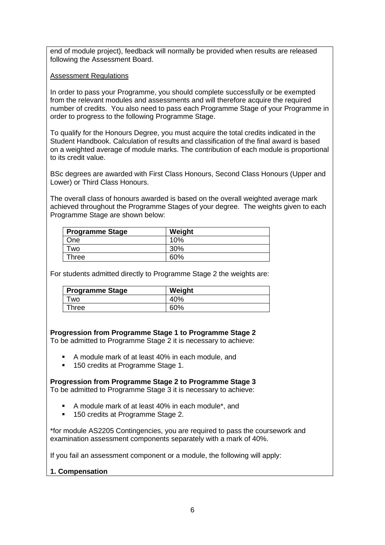end of module project), feedback will normally be provided when results are released following the Assessment Board.

#### Assessment Regulations

In order to pass your Programme, you should complete successfully or be exempted from the relevant modules and assessments and will therefore acquire the required number of credits. You also need to pass each Programme Stage of your Programme in order to progress to the following Programme Stage.

To qualify for the Honours Degree, you must acquire the total credits indicated in the Student Handbook. Calculation of results and classification of the final award is based on a weighted average of module marks. The contribution of each module is proportional to its credit value.

BSc degrees are awarded with First Class Honours, Second Class Honours (Upper and Lower) or Third Class Honours.

The overall class of honours awarded is based on the overall weighted average mark achieved throughout the Programme Stages of your degree. The weights given to each Programme Stage are shown below:

| <b>Programme Stage</b> | Weight |
|------------------------|--------|
| One                    | 10%    |
| Two                    | 30%    |
| Three                  | 60%    |

For students admitted directly to Programme Stage 2 the weights are:

| <b>Programme Stage</b> | Weight |
|------------------------|--------|
| <b>WO</b>              | 40%    |
| $\mathsf{Three}$       | 60%    |

**Progression from Programme Stage 1 to Programme Stage 2**

To be admitted to Programme Stage 2 it is necessary to achieve:

- A module mark of at least 40% in each module, and
- 150 credits at Programme Stage 1.

**Progression from Programme Stage 2 to Programme Stage 3** To be admitted to Programme Stage 3 it is necessary to achieve:

- A module mark of at least 40% in each module\*, and
- 150 credits at Programme Stage 2.

\*for module AS2205 Contingencies, you are required to pass the coursework and examination assessment components separately with a mark of 40%.

If you fail an assessment component or a module, the following will apply:

#### **1. Compensation**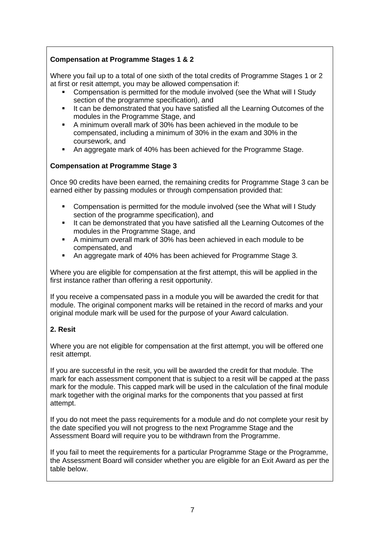# **Compensation at Programme Stages 1 & 2**

Where you fail up to a total of one sixth of the total credits of Programme Stages 1 or 2 at first or resit attempt, you may be allowed compensation if:

- Compensation is permitted for the module involved (see the What will I Study section of the programme specification), and
- It can be demonstrated that you have satisfied all the Learning Outcomes of the modules in the Programme Stage, and
- A minimum overall mark of 30% has been achieved in the module to be compensated, including a minimum of 30% in the exam and 30% in the coursework, and
- An aggregate mark of 40% has been achieved for the Programme Stage.

#### **Compensation at Programme Stage 3**

Once 90 credits have been earned, the remaining credits for Programme Stage 3 can be earned either by passing modules or through compensation provided that:

- Compensation is permitted for the module involved (see the What will I Study section of the programme specification), and
- It can be demonstrated that you have satisfied all the Learning Outcomes of the modules in the Programme Stage, and
- A minimum overall mark of 30% has been achieved in each module to be compensated, and
- An aggregate mark of 40% has been achieved for Programme Stage 3.

Where you are eligible for compensation at the first attempt, this will be applied in the first instance rather than offering a resit opportunity.

If you receive a compensated pass in a module you will be awarded the credit for that module. The original component marks will be retained in the record of marks and your original module mark will be used for the purpose of your Award calculation.

## **2. Resit**

Where you are not eligible for compensation at the first attempt, you will be offered one resit attempt.

If you are successful in the resit, you will be awarded the credit for that module. The mark for each assessment component that is subject to a resit will be capped at the pass mark for the module. This capped mark will be used in the calculation of the final module mark together with the original marks for the components that you passed at first attempt.

If you do not meet the pass requirements for a module and do not complete your resit by the date specified you will not progress to the next Programme Stage and the Assessment Board will require you to be withdrawn from the Programme.

If you fail to meet the requirements for a particular Programme Stage or the Programme, the Assessment Board will consider whether you are eligible for an Exit Award as per the table below.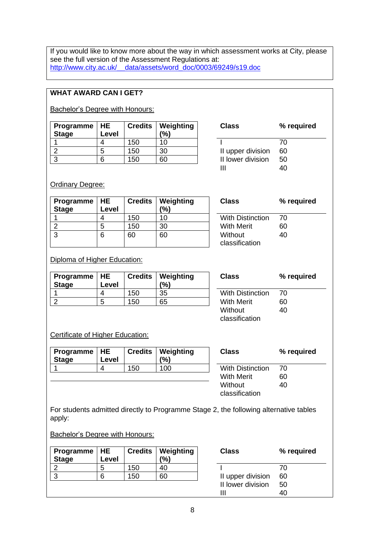If you would like to know more about the way in which assessment works at City, please see the full version of the Assessment Regulations at: [http://www.city.ac.uk/\\_\\_data/assets/word\\_doc/0003/69249/s19.doc](http://www.city.ac.uk/__data/assets/word_doc/0003/69249/s19.doc)

# **WHAT AWARD CAN I GET?**

**Bachelor's Degree with Honours:** 

| Programme $ HE$<br><b>Stage</b> | Level |     | <b>Credits   Weighting</b><br>(%) | <b>Class</b>      | ℅  |
|---------------------------------|-------|-----|-----------------------------------|-------------------|----|
|                                 |       | 150 | 10                                |                   | 70 |
|                                 | b     | 150 | 30                                | II upper division | 60 |
|                                 | 6     | 50  | 60                                | II lower division | 50 |

| Class             | % required |
|-------------------|------------|
|                   | 70         |
| II upper division | 60         |
| II lower division | 50         |
| ш                 | 40         |

Ordinary Degree:

| Programme   HE<br><b>Stage</b> | Level | $C$ redits $ $ | Weighting<br>(%) | <b>Class</b>              | ℅  |
|--------------------------------|-------|----------------|------------------|---------------------------|----|
|                                |       | 150            | 10               | <b>With Distinction</b>   | 70 |
|                                | 5     | 150            | 30               | <b>With Merit</b>         | 60 |
| 3                              | 6     | 60             | 60               | Without<br>classification | 40 |

| Class                   | % required |
|-------------------------|------------|
| <b>With Distinction</b> | 70         |
| With Merit              | 60         |
| Without                 | 40         |
| classification          |            |
|                         |            |

Diploma of Higher Education:

| Programme   HE<br><b>Stage</b> | Level |     | Credits   Weighting<br>(%) | <b>Class</b>            | ℅  |
|--------------------------------|-------|-----|----------------------------|-------------------------|----|
|                                |       | 150 | 35                         | <b>With Distinction</b> | 70 |
|                                | b     | 150 | 65                         | <b>With Merit</b>       | 60 |
|                                |       |     |                            |                         |    |

| Class                   | % required |
|-------------------------|------------|
| <b>With Distinction</b> | 70         |
| With Merit              | 60         |
| Without                 | 40         |
| classification          |            |

Certificate of Higher Education:

| Stage | Programme   HE | Level |     | <b>Credits   Weighting</b><br>(%) | <b>Class</b>            | %   |
|-------|----------------|-------|-----|-----------------------------------|-------------------------|-----|
|       |                |       | 150 | 100                               | <b>With Distinction</b> | 70  |
|       |                |       |     |                                   | 101:11. 100             | rn. |

| <b>Class</b>            | % required |
|-------------------------|------------|
| <b>With Distinction</b> | 70         |
| With Merit              | 60         |
| Without                 | 40         |
| classification          |            |

For students admitted directly to Programme Stage 2, the following alternative tables apply:

**Bachelor's Degree with Honours:** 

| Programme $ HE$ |       |     | <b>Credits   Weighting</b> | <b>Class</b>      | ℅  |
|-----------------|-------|-----|----------------------------|-------------------|----|
| <b>Stage</b>    | Level |     | $\frac{10}{6}$             |                   |    |
|                 | 5     | 150 | 40                         |                   | 70 |
| ◠               |       | 150 | 60                         | II upper division | 60 |
|                 |       |     |                            | II lower division | 50 |
|                 |       |     |                            |                   | 40 |

| Class             | % required |
|-------------------|------------|
|                   | 70         |
| II upper division | 60         |
| II lower division | 50         |
| Ш                 |            |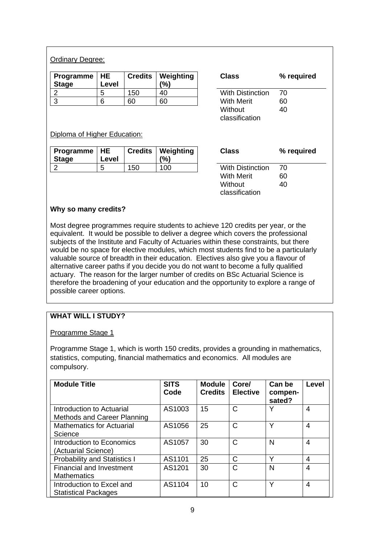## Ordinary Degree:

| Programme   HE<br><b>Stage</b> | Level |     | <b>Credits   Weighting</b><br>(%) | <b>Class</b>            | %  |
|--------------------------------|-------|-----|-----------------------------------|-------------------------|----|
|                                | h     | 150 | 40                                | <b>With Distinction</b> | 70 |
|                                |       | 60  | 60                                | <b>With Merit</b>       | 60 |

| Class                     | % required |
|---------------------------|------------|
| With Distinction          | 70         |
| With Merit                | 60         |
| Without<br>classification | 40         |

### Diploma of Higher Education:

| Programme   HE<br><b>Stage</b> | Level |     | <b>Credits   Weighting</b><br>$\frac{10}{6}$ | <b>Class</b>            | %  |
|--------------------------------|-------|-----|----------------------------------------------|-------------------------|----|
|                                | ∽     | 150 | 100                                          | <b>With Distinction</b> | 70 |

| Class            | % required |
|------------------|------------|
| With Distinction | 70         |
| With Merit       | 60         |
| Without          | 40         |
| classification   |            |

### **Why so many credits?**

Most degree programmes require students to achieve 120 credits per year, or the equivalent. It would be possible to deliver a degree which covers the professional subjects of the Institute and Faculty of Actuaries within these constraints, but there would be no space for elective modules, which most students find to be a particularly valuable source of breadth in their education. Electives also give you a flavour of alternative career paths if you decide you do not want to become a fully qualified actuary. The reason for the larger number of credits on BSc Actuarial Science is therefore the broadening of your education and the opportunity to explore a range of possible career options.

## **WHAT WILL I STUDY?**

Programme Stage 1

Programme Stage 1, which is worth 150 credits, provides a grounding in mathematics, statistics, computing, financial mathematics and economics. All modules are compulsory.

| <b>Module Title</b>                                      | <b>SITS</b><br>Code | <b>Module</b><br><b>Credits</b> | Core/<br><b>Elective</b> | Can be<br>compen-<br>sated? | Level |
|----------------------------------------------------------|---------------------|---------------------------------|--------------------------|-----------------------------|-------|
| Introduction to Actuarial<br>Methods and Career Planning | AS1003              | 15                              | C                        |                             | 4     |
| <b>Mathematics for Actuarial</b><br>Science              | AS1056              | 25                              | С                        | v                           | 4     |
| Introduction to Economics<br>(Actuarial Science)         | AS1057              | 30                              | С                        | N                           | 4     |
| <b>Probability and Statistics I</b>                      | AS1101              | 25                              | C                        | v                           | 4     |
| <b>Financial and Investment</b><br><b>Mathematics</b>    | AS1201              | 30                              | С                        | N                           | 4     |
| Introduction to Excel and<br><b>Statistical Packages</b> | AS1104              | 10                              | C                        | $\checkmark$                | 4     |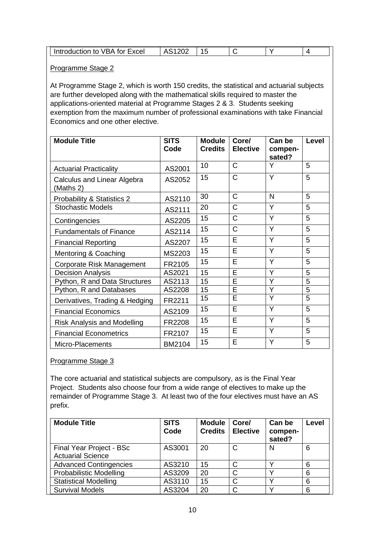| <b>VBA for Excel</b><br>⊥ Introduction to ` |  |  |  |  |  |
|---------------------------------------------|--|--|--|--|--|
|---------------------------------------------|--|--|--|--|--|

### Programme Stage 2

At Programme Stage 2, which is worth 150 credits, the statistical and actuarial subjects are further developed along with the mathematical skills required to master the applications-oriented material at Programme Stages 2 & 3. Students seeking exemption from the maximum number of professional examinations with take Financial Economics and one other elective.

| <b>Module Title</b>                      | <b>SITS</b><br>Code | <b>Module</b><br><b>Credits</b> | Core/<br><b>Elective</b> | Can be<br>compen- | Level          |
|------------------------------------------|---------------------|---------------------------------|--------------------------|-------------------|----------------|
|                                          |                     |                                 |                          | sated?            |                |
| <b>Actuarial Practicality</b>            | AS2001              | 10                              | $\mathsf{C}$             | Y                 | 5              |
| Calculus and Linear Algebra<br>(Maths 2) | AS2052              | 15                              | C                        | Y                 | 5              |
| Probability & Statistics 2               | AS2110              | 30                              | $\mathsf{C}$             | N                 | 5              |
| <b>Stochastic Models</b>                 | AS2111              | 20                              | C                        | Y                 | 5              |
| Contingencies                            | AS2205              | 15                              | $\mathsf{C}$             | Y                 | 5              |
| <b>Fundamentals of Finance</b>           | AS2114              | 15                              | C                        | Y                 | 5              |
| <b>Financial Reporting</b>               | AS2207              | 15                              | E                        | Y                 | 5              |
| Mentoring & Coaching                     | MS2203              | 15                              | E                        | Y                 | 5              |
| Corporate Risk Management                | FR2105              | 15                              | E                        | Y                 | 5              |
| <b>Decision Analysis</b>                 | AS2021              | 15                              | E                        | Y                 | 5              |
| Python, R and Data Structures            | AS2113              | 15                              | E                        | Y                 | 5              |
| Python, R and Databases                  | AS2208              | 15                              | $\overline{\mathsf{E}}$  | Y                 | $\overline{5}$ |
| Derivatives, Trading & Hedging           | FR2211              | 15                              | E                        | Y                 | 5              |
| <b>Financial Economics</b>               | AS2109              | 15                              | E                        | Y                 | 5              |
| <b>Risk Analysis and Modelling</b>       | FR2208              | 15                              | E                        | Y                 | 5              |
| <b>Financial Econometrics</b>            | FR2107              | 15                              | E                        | Y                 | 5              |
| Micro-Placements                         | BM2104              | 15                              | E                        | Y                 | 5              |

#### Programme Stage 3

The core actuarial and statistical subjects are compulsory, as is the Final Year Project. Students also choose four from a wide range of electives to make up the remainder of Programme Stage 3. At least two of the four electives must have an AS prefix.

| <b>Module Title</b>                                  | <b>SITS</b><br>Code | <b>Module</b><br><b>Credits</b> | Core/<br><b>Elective</b> | Can be<br>compen-<br>sated? | Level |
|------------------------------------------------------|---------------------|---------------------------------|--------------------------|-----------------------------|-------|
| Final Year Project - BSc<br><b>Actuarial Science</b> | AS3001              | 20                              | C                        | N                           | 6     |
| <b>Advanced Contingencies</b>                        | AS3210              | 15                              | C                        |                             | 6     |
| <b>Probabilistic Modelling</b>                       | AS3209              | 20                              | C                        |                             | 6     |
| <b>Statistical Modelling</b>                         | AS3110              | 15                              | C                        |                             | 6     |
| <b>Survival Models</b>                               | AS3204              | 20                              | C                        |                             | 6     |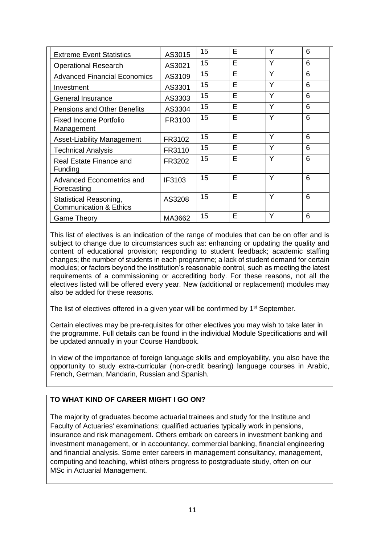| <b>Extreme Event Statistics</b>                                    | AS3015 | 15 | Е | Y | 6 |
|--------------------------------------------------------------------|--------|----|---|---|---|
| <b>Operational Research</b>                                        | AS3021 | 15 | E | Y | 6 |
| <b>Advanced Financial Economics</b>                                | AS3109 | 15 | E | Y | 6 |
| Investment                                                         | AS3301 | 15 | E | Y | 6 |
| <b>General Insurance</b>                                           | AS3303 | 15 | E | Y | 6 |
| <b>Pensions and Other Benefits</b>                                 | AS3304 | 15 | E | Y | 6 |
| Fixed Income Portfolio<br>Management                               | FR3100 | 15 | E | Y | 6 |
| <b>Asset-Liability Management</b>                                  | FR3102 | 15 | Е | Υ | 6 |
| <b>Technical Analysis</b>                                          | FR3110 | 15 | Е | Y | 6 |
| Real Estate Finance and<br>Funding                                 | FR3202 | 15 | E | Y | 6 |
| Advanced Econometrics and<br>Forecasting                           | IF3103 | 15 | E | Υ | 6 |
| <b>Statistical Reasoning,</b><br><b>Communication &amp; Ethics</b> | AS3208 | 15 | Е | Υ | 6 |
| Game Theory                                                        | MA3662 | 15 | Е | Υ | 6 |

This list of electives is an indication of the range of modules that can be on offer and is subject to change due to circumstances such as: enhancing or updating the quality and content of educational provision; responding to student feedback; academic staffing changes; the number of students in each programme; a lack of student demand for certain modules; or factors beyond the institution's reasonable control, such as meeting the latest requirements of a commissioning or accrediting body. For these reasons, not all the electives listed will be offered every year. New (additional or replacement) modules may also be added for these reasons.

The list of electives offered in a given year will be confirmed by 1<sup>st</sup> September.

Certain electives may be pre-requisites for other electives you may wish to take later in the programme. Full details can be found in the individual Module Specifications and will be updated annually in your Course Handbook.

In view of the importance of foreign language skills and employability, you also have the opportunity to study extra-curricular (non-credit bearing) language courses in Arabic, French, German, Mandarin, Russian and Spanish.

# **TO WHAT KIND OF CAREER MIGHT I GO ON?**

The majority of graduates become actuarial trainees and study for the Institute and Faculty of Actuaries' examinations; qualified actuaries typically work in pensions, insurance and risk management. Others embark on careers in investment banking and investment management, or in accountancy, commercial banking, financial engineering and financial analysis. Some enter careers in management consultancy, management, computing and teaching, whilst others progress to postgraduate study, often on our MSc in Actuarial Management.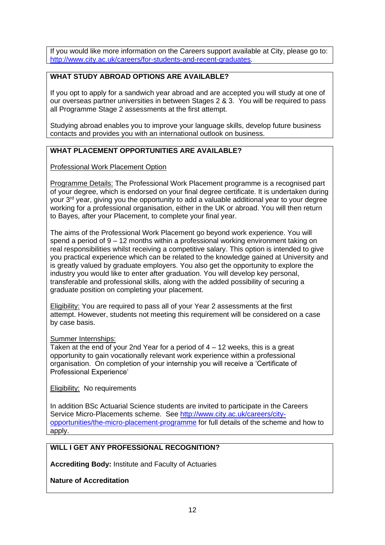If you would like more information on the Careers support available at City, please go to: [http://www.city.ac.uk/careers/for-students-and-recent-graduates.](http://www.city.ac.uk/careers/for-students-and-recent-graduates)

# **WHAT STUDY ABROAD OPTIONS ARE AVAILABLE?**

If you opt to apply for a sandwich year abroad and are accepted you will study at one of our overseas partner universities in between Stages 2 & 3. You will be required to pass all Programme Stage 2 assessments at the first attempt.

Studying abroad enables you to improve your language skills, develop future business contacts and provides you with an international outlook on business.

### **WHAT PLACEMENT OPPORTUNITIES ARE AVAILABLE?**

Professional Work Placement Option

Programme Details: The Professional Work Placement programme is a recognised part of your degree, which is endorsed on your final degree certificate. It is undertaken during your 3<sup>rd</sup> year, giving you the opportunity to add a valuable additional year to your degree working for a professional organisation, either in the UK or abroad. You will then return to Bayes, after your Placement, to complete your final year.

The aims of the Professional Work Placement go beyond work experience. You will spend a period of 9 – 12 months within a professional working environment taking on real responsibilities whilst receiving a competitive salary. This option is intended to give you practical experience which can be related to the knowledge gained at University and is greatly valued by graduate employers. You also get the opportunity to explore the industry you would like to enter after graduation. You will develop key personal, transferable and professional skills, along with the added possibility of securing a graduate position on completing your placement.

Eligibility: You are required to pass all of your Year 2 assessments at the first attempt. However, students not meeting this requirement will be considered on a case by case basis.

#### Summer Internships:

Taken at the end of your 2nd Year for a period of 4 – 12 weeks, this is a great opportunity to gain vocationally relevant work experience within a professional organisation. On completion of your internship you will receive a 'Certificate of Professional Experience'

Eligibility: No requirements

In addition BSc Actuarial Science students are invited to participate in the Careers Service Micro-Placements scheme. See [http://www.city.ac.uk/careers/city](http://www.city.ac.uk/careers/city-opportunities/the-micro-placement-programme)[opportunities/the-micro-placement-programme](http://www.city.ac.uk/careers/city-opportunities/the-micro-placement-programme) for full details of the scheme and how to apply.

## **WILL I GET ANY PROFESSIONAL RECOGNITION?**

**Accrediting Body:** Institute and Faculty of Actuaries

**Nature of Accreditation**